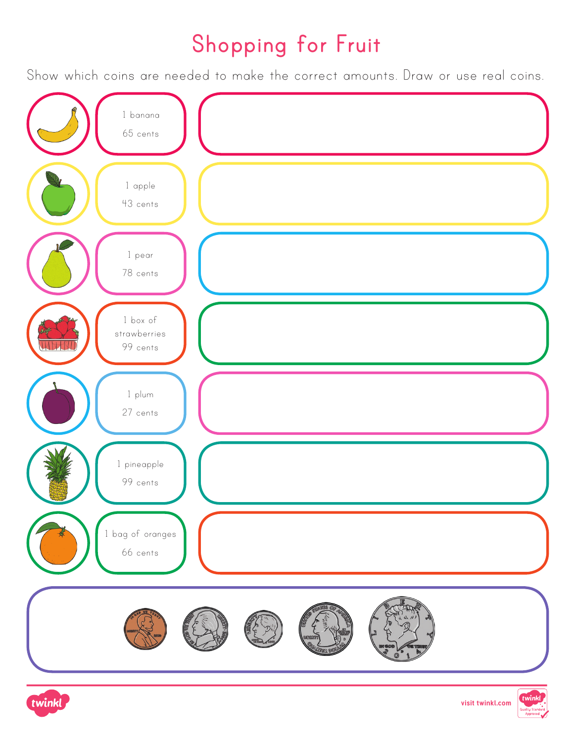### **Shopping for Fruit**

Show which coins are needed to make the correct amounts. Draw or use real coins.





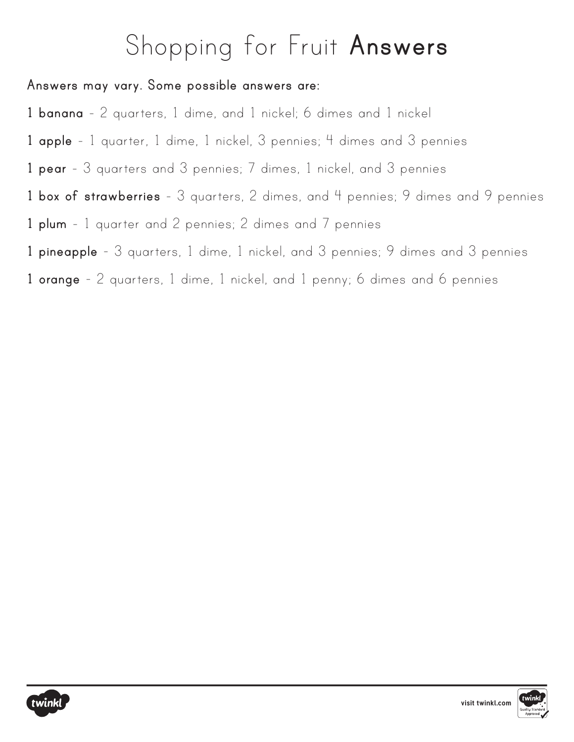# Shopping for Fruit **Answers**

#### **Answers may vary. Some possible answers are:**

- **1 banana** 2 quarters, 1 dime, and 1 nickel; 6 dimes and 1 nickel
- **1 apple** 1 quarter, 1 dime, 1 nickel, 3 pennies; 4 dimes and 3 pennies
- **1 pear** 3 quarters and 3 pennies; 7 dimes, 1 nickel, and 3 pennies
- **1 box of strawberries** 3 quarters, 2 dimes, and 4 pennies; 9 dimes and 9 pennies
- **1 plum** 1 quarter and 2 pennies; 2 dimes and 7 pennies
- **1 pineapple** 3 quarters, 1 dime, 1 nickel, and 3 pennies; 9 dimes and 3 pennies
- **1 orange** 2 quarters, 1 dime, 1 nickel, and 1 penny; 6 dimes and 6 pennies



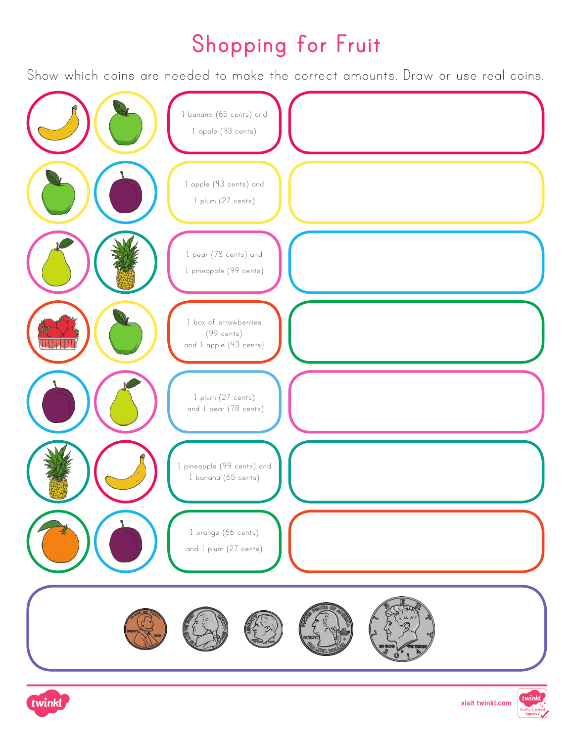### **Shopping for Fruit**

Show which coins are needed to make the correct amounts. Draw or use real coins.